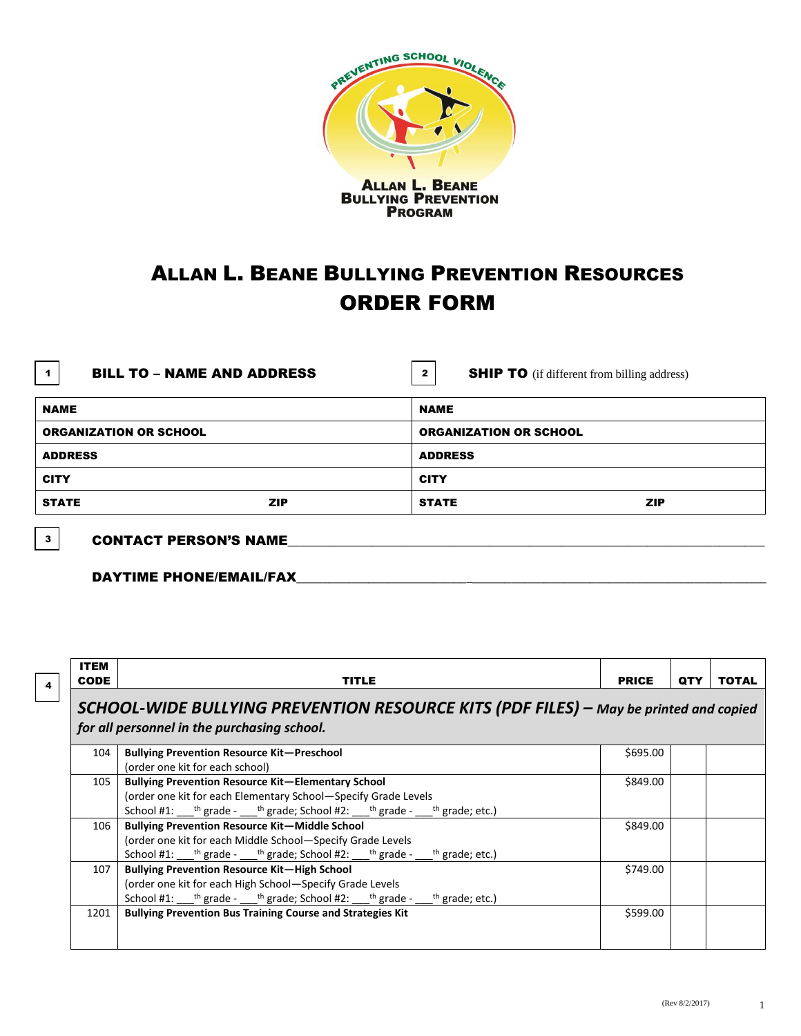

## ALLAN L. BEANE BULLYING PREVENTION RESOURCES ORDER FORM

| <b>BILL TO – NAME AND ADDRESS</b><br>1 | <b>SHIP TO</b> (if different from billing address)<br>2 |  |  |
|----------------------------------------|---------------------------------------------------------|--|--|
| NAME                                   | <b>NAME</b>                                             |  |  |
| ORGANIZATION OR SCHOOL                 | <b>ORGANIZATION OR SCHOOL</b>                           |  |  |
|                                        |                                                         |  |  |

STATE ZIP STATE ZIP

ADDRESS ADDRESS

CITY CITY

 $3$  CONTACT PERSON'S NAME

DAYTIME PHONE/EMAIL/FAX

ITEM CODE TITLE PRICE QTY TOTAL *SCHOOL-WIDE BULLYING PREVENTION RESOURCE KITS (PDF FILES) – May be printed and copied for all personnel in the purchasing school.* 104 **Bullying Prevention Resource Kit—Preschool**  (order one kit for each school) \$695.00 105 **Bullying Prevention Resource Kit—Elementary School** (order one kit for each Elementary School—Specify Grade Levels School #1: \_\_\_\_<sup>th</sup> grade - \_\_\_\_<sup>th</sup> grade; School #2: \_\_\_\_<sup>th</sup> grade - \_\_\_\_ th grade; etc.) \$849.00 106 **Bullying Prevention Resource Kit—Middle School** (order one kit for each Middle School—Specify Grade Levels School #1: \_\_\_\_<sup>th</sup> grade - \_\_\_\_<sup>th</sup> grade; School #2: \_\_\_\_<sup>th</sup> grade - \_\_\_ th grade; etc.) \$849.00 107 **Bullying Prevention Resource Kit—High School** (order one kit for each High School—Specify Grade Levels School #1: \_\_\_\_<sup>th</sup> grade - \_\_\_\_<sup>th</sup> grade; School #2: \_\_\_\_<sup>th</sup> grade - \_\_\_ th grade; etc.) \$749.00 1201 **Bullying Prevention Bus Training Course and Strategies Kit Example 2018 Bullying Prevention Bus Training Course and Strategies Kit** 4

 $(\text{Rev } 8/2/2017)$  1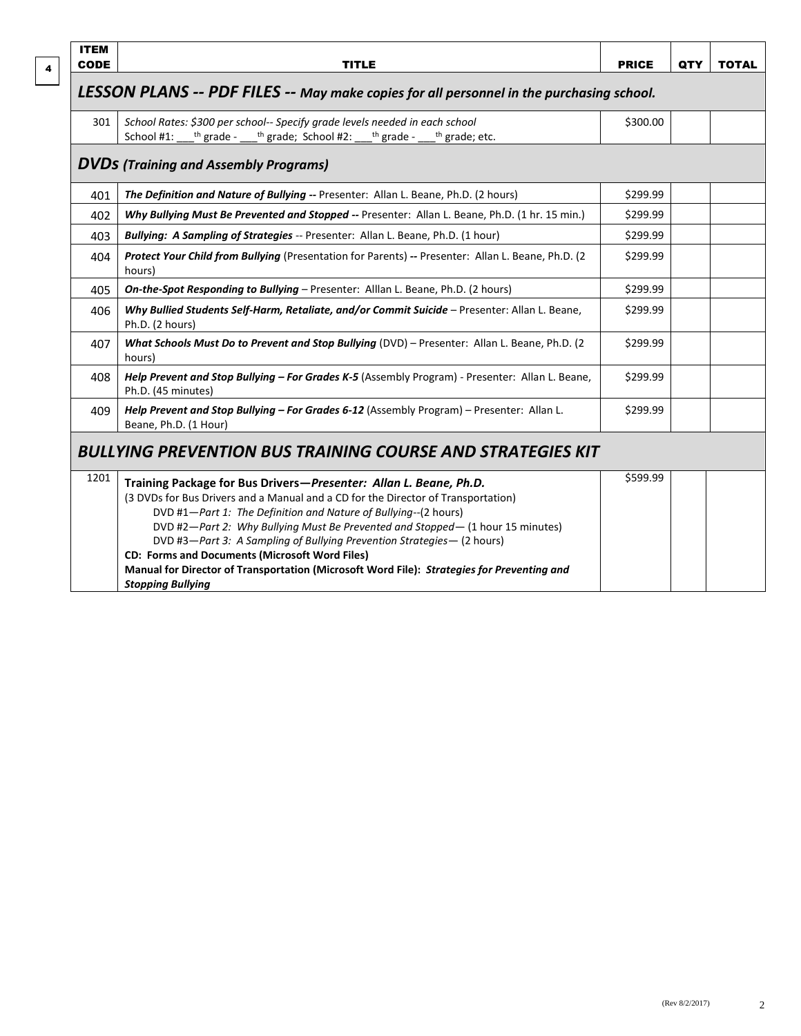|--|

| <b>ITEM</b>                                                                              |                                                                              |              |  |  |  |  |
|------------------------------------------------------------------------------------------|------------------------------------------------------------------------------|--------------|--|--|--|--|
| <b>CODE</b>                                                                              | <b>TITLE</b>                                                                 | <b>PRICE</b> |  |  |  |  |
| LESSON PLANS -- PDF FILES -- May make copies for all personnel in the purchasing school. |                                                                              |              |  |  |  |  |
| 301                                                                                      | School Rates: \$300 per school-- Specify grade levels needed in each school  | \$300.00     |  |  |  |  |
|                                                                                          | School #1: $th$ grade - $th$ grade; School #2: $th$ grade - $th$ grade; etc. |              |  |  |  |  |

## *DVDs (Training and Assembly Programs)*

| 401                                                               | The Definition and Nature of Bullying -- Presenter: Allan L. Beane, Ph.D. (2 hours)                                                                                                                                                                                                                                                                                                                                                                                                                                                                                      | \$299.99 |  |  |
|-------------------------------------------------------------------|--------------------------------------------------------------------------------------------------------------------------------------------------------------------------------------------------------------------------------------------------------------------------------------------------------------------------------------------------------------------------------------------------------------------------------------------------------------------------------------------------------------------------------------------------------------------------|----------|--|--|
| 402                                                               | Why Bullying Must Be Prevented and Stopped -- Presenter: Allan L. Beane, Ph.D. (1 hr. 15 min.)                                                                                                                                                                                                                                                                                                                                                                                                                                                                           | \$299.99 |  |  |
| 403                                                               | <b>Bullying: A Sampling of Strategies</b> -- Presenter: Allan L. Beane, Ph.D. (1 hour)                                                                                                                                                                                                                                                                                                                                                                                                                                                                                   | \$299.99 |  |  |
| 404                                                               | Protect Your Child from Bullying (Presentation for Parents) -- Presenter: Allan L. Beane, Ph.D. (2)<br>hours)                                                                                                                                                                                                                                                                                                                                                                                                                                                            | \$299.99 |  |  |
| 405                                                               | <b>On-the-Spot Responding to Bullying – Presenter: Alllan L. Beane, Ph.D. (2 hours)</b>                                                                                                                                                                                                                                                                                                                                                                                                                                                                                  | \$299.99 |  |  |
| 406                                                               | Why Bullied Students Self-Harm, Retaliate, and/or Commit Suicide - Presenter: Allan L. Beane,<br>Ph.D. (2 hours)                                                                                                                                                                                                                                                                                                                                                                                                                                                         | \$299.99 |  |  |
| 407                                                               | What Schools Must Do to Prevent and Stop Bullying (DVD) – Presenter: Allan L. Beane, Ph.D. (2)<br>hours)                                                                                                                                                                                                                                                                                                                                                                                                                                                                 | \$299.99 |  |  |
| 408                                                               | Help Prevent and Stop Bullying - For Grades K-5 (Assembly Program) - Presenter: Allan L. Beane,<br>Ph.D. (45 minutes)                                                                                                                                                                                                                                                                                                                                                                                                                                                    | \$299.99 |  |  |
| 409                                                               | Help Prevent and Stop Bullying - For Grades 6-12 (Assembly Program) - Presenter: Allan L.<br>Beane, Ph.D. (1 Hour)                                                                                                                                                                                                                                                                                                                                                                                                                                                       | \$299.99 |  |  |
| <b>BULLYING PREVENTION BUS TRAINING COURSE AND STRATEGIES KIT</b> |                                                                                                                                                                                                                                                                                                                                                                                                                                                                                                                                                                          |          |  |  |
| 1201                                                              | Training Package for Bus Drivers-Presenter: Allan L. Beane, Ph.D.<br>(3 DVDs for Bus Drivers and a Manual and a CD for the Director of Transportation)<br>DVD #1-Part 1: The Definition and Nature of Bullying--(2 hours)<br>DVD #2-Part 2: Why Bullying Must Be Prevented and Stopped- (1 hour 15 minutes)<br>DVD #3-Part 3: A Sampling of Bullying Prevention Strategies- (2 hours)<br><b>CD: Forms and Documents (Microsoft Word Files)</b><br>Manual for Director of Transportation (Microsoft Word File): Strategies for Preventing and<br><b>Stopping Bullying</b> | \$599.99 |  |  |

QTY TOTAL